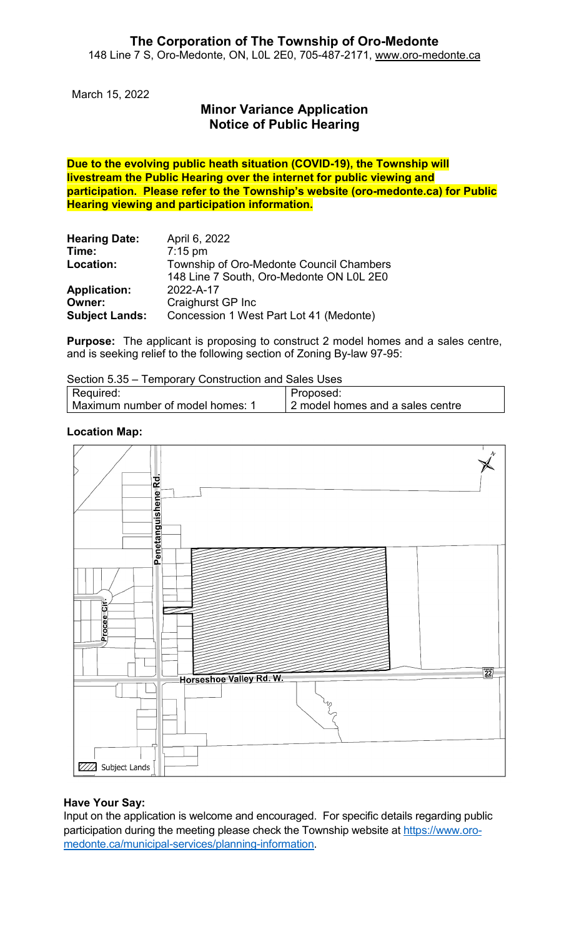March 15, 2022

# **Minor Variance Application Notice of Public Hearing**

**Due to the evolving public heath situation (COVID-19), the Township will livestream the Public Hearing over the internet for public viewing and participation. Please refer to the Township's website (oro-medonte.ca) for Public Hearing viewing and participation information.**

| <b>Hearing Date:</b>  | April 6, 2022                            |
|-----------------------|------------------------------------------|
| Time:                 | $7:15$ pm                                |
| Location:             | Township of Oro-Medonte Council Chambers |
|                       | 148 Line 7 South, Oro-Medonte ON L0L 2E0 |
| <b>Application:</b>   | 2022-A-17                                |
| Owner:                | Craighurst GP Inc                        |
| <b>Subject Lands:</b> | Concession 1 West Part Lot 41 (Medonte)  |

**Purpose:** The applicant is proposing to construct 2 model homes and a sales centre, and is seeking relief to the following section of Zoning By-law 97-95:

| Section 5.35 - Temporary Construction and Sales Uses |  |  |
|------------------------------------------------------|--|--|
|------------------------------------------------------|--|--|

| Required:                        | Proposed:                        |
|----------------------------------|----------------------------------|
| Maximum number of model homes: 1 | 2 model homes and a sales centre |

### **Location Map:**



## **Have Your Say:**

Input on the application is welcome and encouraged. For specific details regarding public participation during the meeting please check the Township website at [https://www.oro](https://www.oro-medonte.ca/municipal-services/planning-information)[medonte.ca/municipal-services/planning-information.](https://www.oro-medonte.ca/municipal-services/planning-information)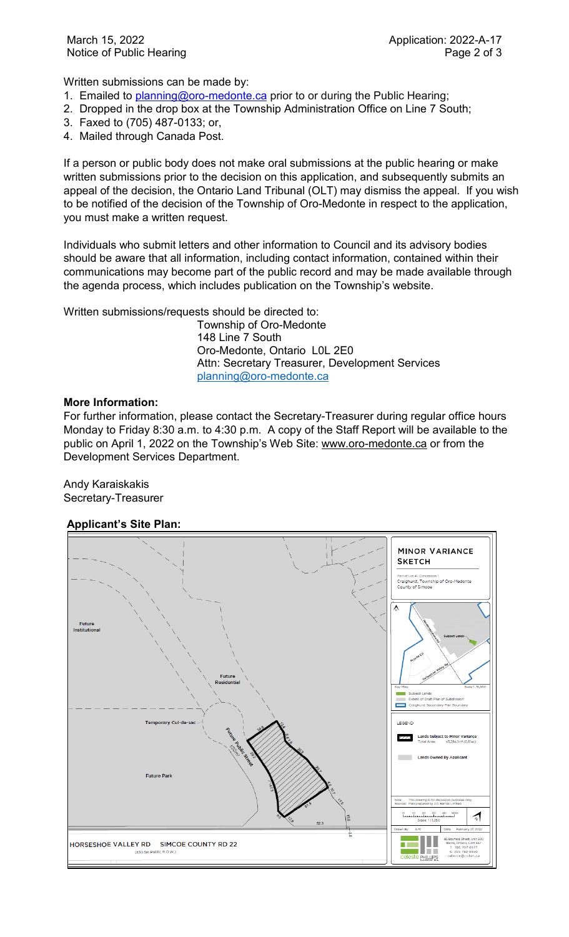Written submissions can be made by:

- 1. Emailed to [planning@oro-medonte.ca](mailto:planning@oro-medonte.ca) prior to or during the Public Hearing;
- 2. Dropped in the drop box at the Township Administration Office on Line 7 South;
- 3. Faxed to (705) 487-0133; or,
- 4. Mailed through Canada Post.

If a person or public body does not make oral submissions at the public hearing or make written submissions prior to the decision on this application, and subsequently submits an appeal of the decision, the Ontario Land Tribunal (OLT) may dismiss the appeal. If you wish to be notified of the decision of the Township of Oro-Medonte in respect to the application, you must make a written request.

Individuals who submit letters and other information to Council and its advisory bodies should be aware that all information, including contact information, contained within their communications may become part of the public record and may be made available through the agenda process, which includes publication on the Township's website.

Written submissions/requests should be directed to:

Township of Oro-Medonte 148 Line 7 South Oro-Medonte, Ontario L0L 2E0 Attn: Secretary Treasurer, Development Services [planning@oro-medonte.ca](mailto:planning@oro-medonte.ca)

#### **More Information:**

For further information, please contact the Secretary-Treasurer during regular office hours Monday to Friday 8:30 a.m. to 4:30 p.m. A copy of the Staff Report will be available to the public on April 1, 2022 on the Township's Web Site: [www.oro-medonte.ca](http://www.oro-medonte.ca/) or from the Development Services Department.

Andy Karaiskakis Secretary-Treasurer

## **Applicant's Site Plan:**